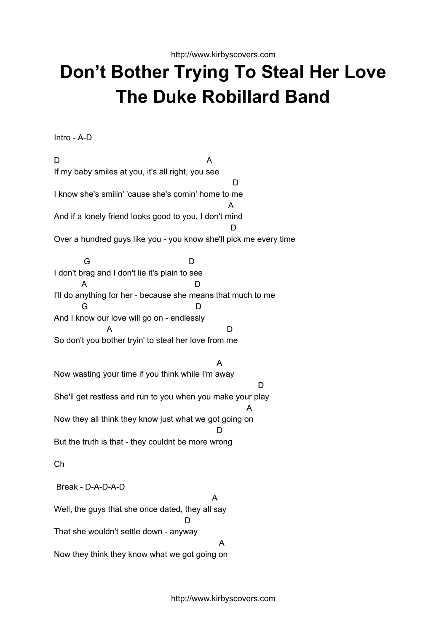http://www.kirbyscovers.com

## **Don't Bother Trying To Steal Her Love The Duke Robillard Band**

Intro - A-D

D A If my baby smiles at you, it's all right, you see D. I know she's smilin' 'cause she's comin' home to me A And if a lonely friend looks good to you, I don't mind D Over a hundred guys like you - you know she'll pick me every time G D I don't brag and I don't lie it's plain to see A D I'll do anything for her - because she means that much to me G D And I know our love will go on - endlessly A D So don't you bother tryin' to steal her love from me A Now wasting your time if you think while I'm away D She'll get restless and run to you when you make your play A Now they all think they know just what we got going on D But the truth is that - they couldnt be more wrong Ch Break - D-A-D-A-D A

Well, the guys that she once dated, they all say  $\mathsf{D}$ That she wouldn't settle down - anyway A Now they think they know what we got going on